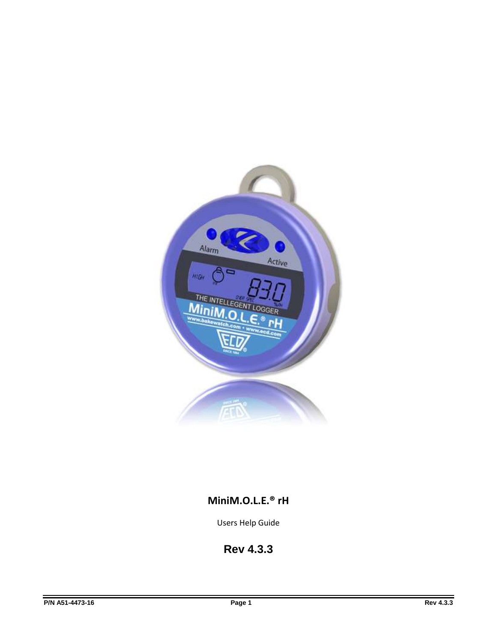

# **MiniM.O.L.E.® rH**

Users Help Guide

**Rev 4.3.3**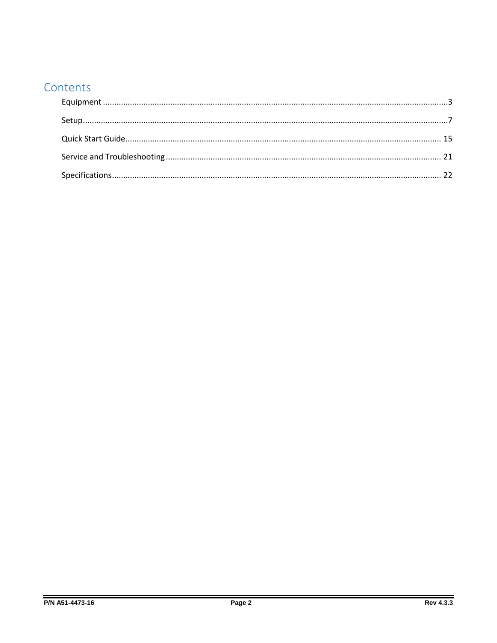# Contents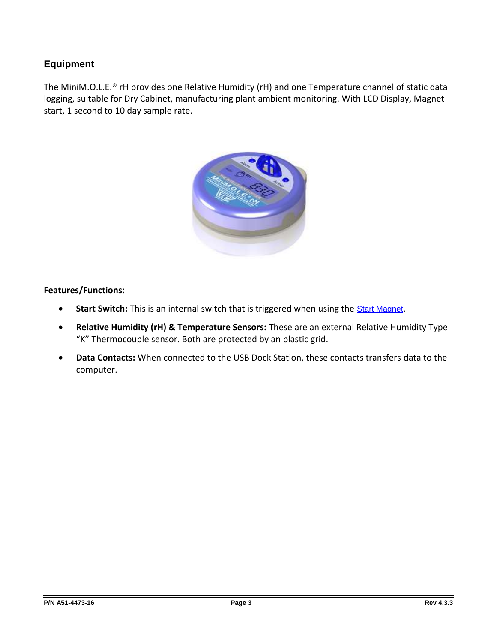# <span id="page-2-0"></span>**Equipment**

The MiniM.O.L.E.® rH provides one Relative Humidity (rH) and one Temperature channel of static data logging, suitable for Dry Cabinet, manufacturing plant ambient monitoring. With LCD Display, Magnet start, 1 second to 10 day sample rate.



#### **Features/Functions:**

- **Start Switch:** This is an internal switch that is triggered when using the **[Start Magnet](#page-4-0)**.
- **Relative Humidity (rH) & Temperature Sensors:** These are an external Relative Humidity Type "K" Thermocouple sensor. Both are protected by an plastic grid.
- **Data Contacts:** When connected to the USB Dock Station, these contacts transfers data to the computer.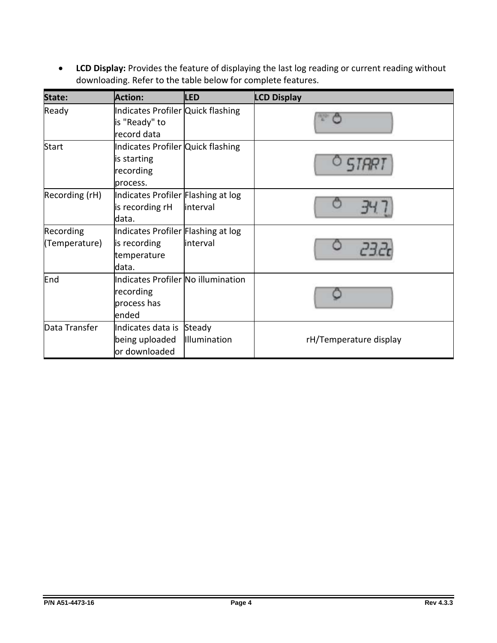**LCD Display:** Provides the feature of displaying the last log reading or current reading without downloading. Refer to the table below for complete features.

| State:         | <b>Action:</b>                                     | <b>LED</b>   | <b>LCD Display</b>     |
|----------------|----------------------------------------------------|--------------|------------------------|
| Ready          | Indicates Profiler Quick flashing<br>is "Ready" to |              |                        |
|                | record data                                        |              |                        |
| <b>Start</b>   | Indicates Profiler Quick flashing                  |              |                        |
|                | is starting                                        |              |                        |
|                | recording                                          |              |                        |
|                | process.                                           |              |                        |
| Recording (rH) | Indicates Profiler Flashing at log                 |              |                        |
|                | is recording rH                                    | interval     |                        |
|                | ldata.                                             |              |                        |
| Recording      | Indicates Profiler Flashing at log                 |              |                        |
| (Temperature)  | is recording                                       | interval     |                        |
|                | temperature                                        |              |                        |
|                | ldata.                                             |              |                        |
| End            | Indicates Profiler No illumination                 |              |                        |
|                | recording                                          |              |                        |
|                | process has                                        |              |                        |
|                | lended                                             |              |                        |
| Data Transfer  | Indicates data is                                  | Steady       |                        |
|                | being uploaded                                     | Illumination | rH/Temperature display |
|                | or downloaded                                      |              |                        |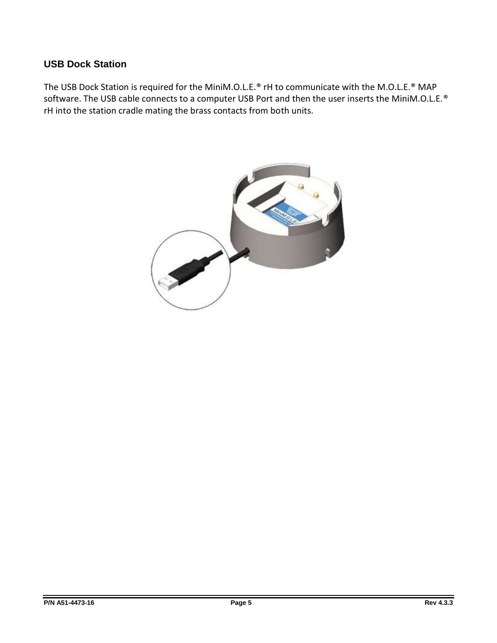## **USB Dock Station**

The USB Dock Station is required for the MiniM.O.L.E.® rH to communicate with the M.O.L.E.® MAP software. The USB cable connects to a computer USB Port and then the user inserts the MiniM.O.L.E.<sup>®</sup> rH into the station cradle mating the brass contacts from both units.

<span id="page-4-0"></span>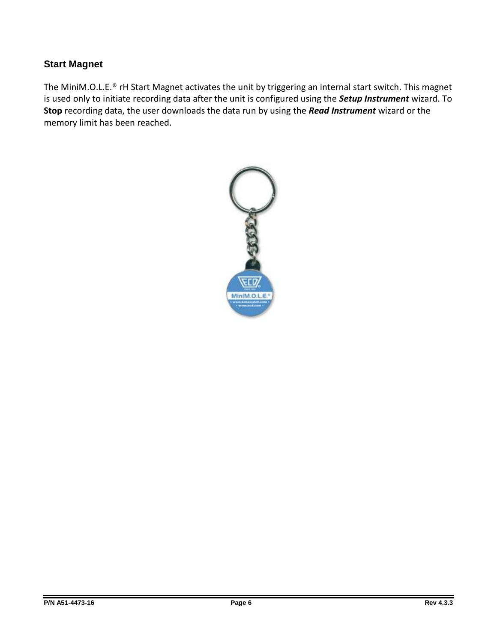# **Start Magnet**

The MiniM.O.L.E.® rH Start Magnet activates the unit by triggering an internal start switch. This magnet is used only to initiate recording data after the unit is configured using the *Setup Instrument* wizard. To **Stop** recording data, the user downloads the data run by using the *Read Instrument* wizard or the memory limit has been reached.

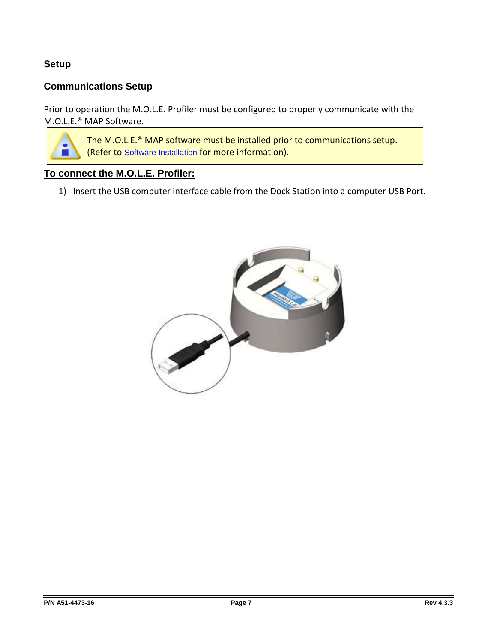# <span id="page-6-0"></span>**Setup**

# **Communications Setup**

Prior to operation the M.O.L.E. Profiler must be configured to properly communicate with the M.O.L.E.® MAP Software.

> The M.O.L.E.® MAP software must be installed prior to communications setup. (Refer to Software Installation for more information).

## **To connect the M.O.L.E. Profiler:**

1) Insert the USB computer interface cable from the Dock Station into a computer USB Port.

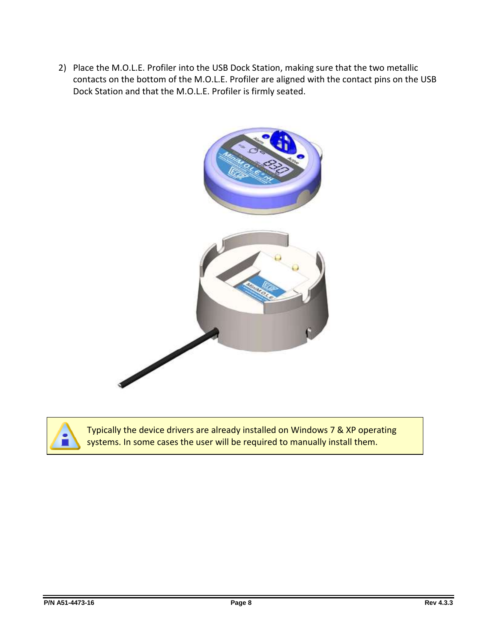2) Place the M.O.L.E. Profiler into the USB Dock Station, making sure that the two metallic contacts on the bottom of the M.O.L.E. Profiler are aligned with the contact pins on the USB Dock Station and that the M.O.L.E. Profiler is firmly seated.





Typically the device drivers are already installed on Windows 7 & XP operating systems. In some cases the user will be required to manually install them.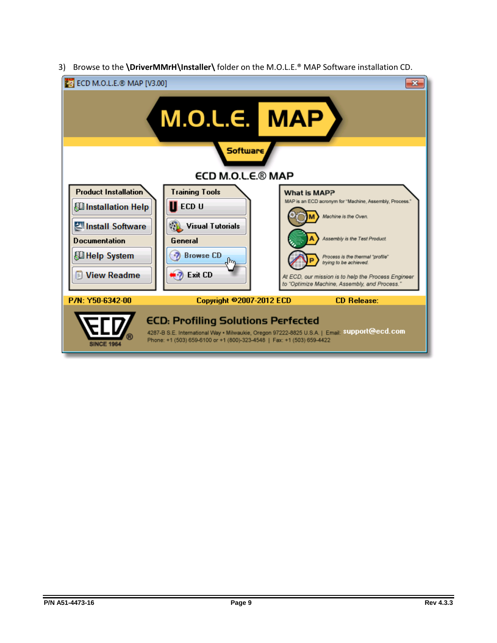3) Browse to the **\DriverMMrH\Installer\** folder on the M.O.L.E.® MAP Software installation CD.

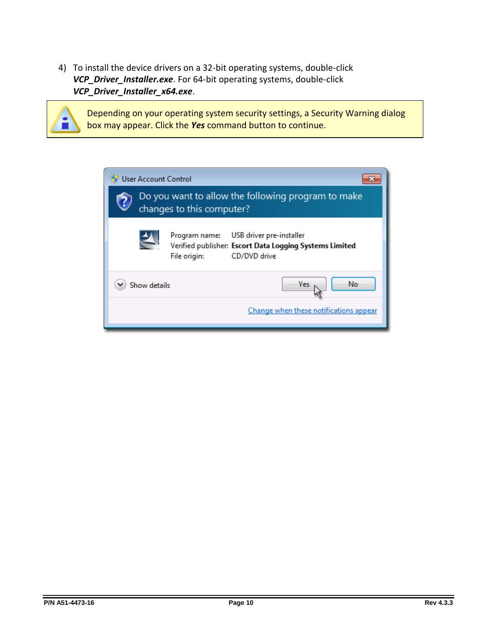4) To install the device drivers on a 32-bit operating systems, double-click *VCP\_Driver\_Installer.exe*. For 64-bit operating systems, double-click *VCP\_Driver\_Installer\_x64.exe*.

Depending on your operating system security settings, a Security Warning dialog box may appear. Click the *Yes* command button to continue.

| <b>User Account Control</b>                                                                                                          |  |  |  |  |
|--------------------------------------------------------------------------------------------------------------------------------------|--|--|--|--|
| Do you want to allow the following program to make<br>changes to this computer?                                                      |  |  |  |  |
| USB driver pre-installer<br>Program name:<br>Verified publisher: Escort Data Logging Systems Limited<br>CD/DVD drive<br>File origin: |  |  |  |  |
| No<br>Yes<br>Show details                                                                                                            |  |  |  |  |
| Change when these notifications appear                                                                                               |  |  |  |  |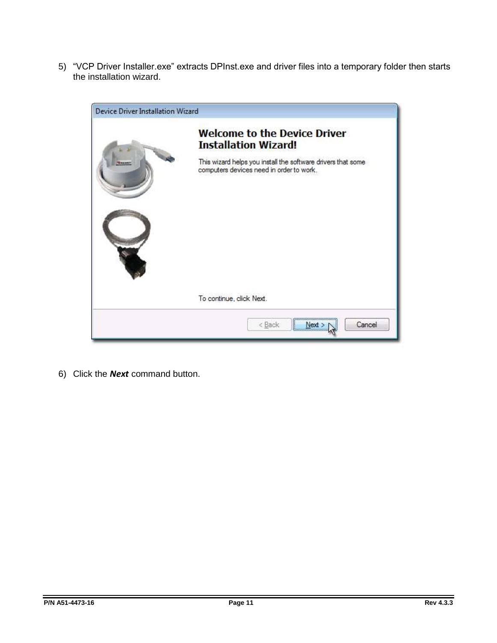5) "VCP Driver Installer.exe" extracts DPInst.exe and driver files into a temporary folder then starts the installation wizard.



6) Click the *Next* command button.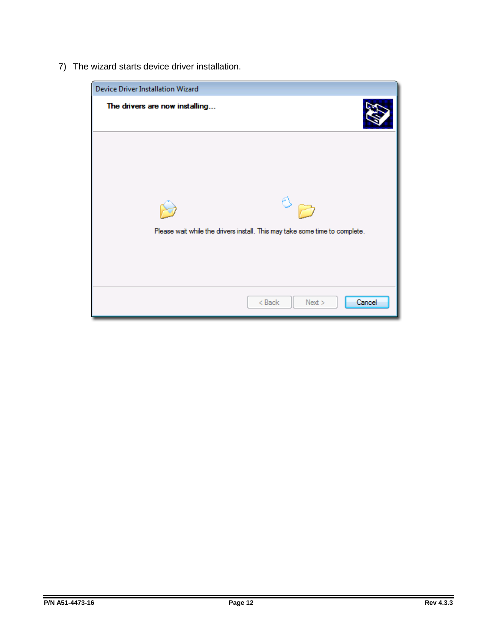7) The wizard starts device driver installation.

| Device Driver Installation Wizard                                           |
|-----------------------------------------------------------------------------|
| The drivers are now installing                                              |
| Please wait while the drivers install. This may take some time to complete. |
| $8$ Back<br>Cancel<br>Next                                                  |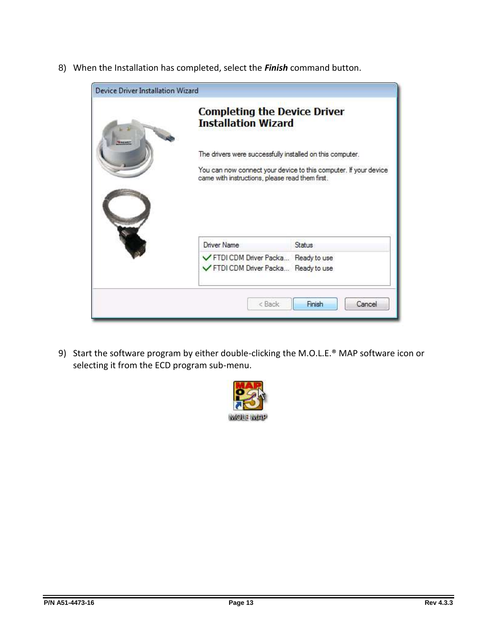8) When the Installation has completed, select the *Finish* command button.

| <b>Completing the Device Driver</b><br><b>Installation Wizard</b> |                                                                  |
|-------------------------------------------------------------------|------------------------------------------------------------------|
|                                                                   | The drivers were successfully installed on this computer.        |
| came with instructions, please read them first.                   | You can now connect your device to this computer. If your device |
|                                                                   |                                                                  |
| Driver Name                                                       | Status                                                           |

9) Start the software program by either double-clicking the M.O.L.E.<sup>®</sup> MAP software icon or selecting it from the ECD program sub-menu.

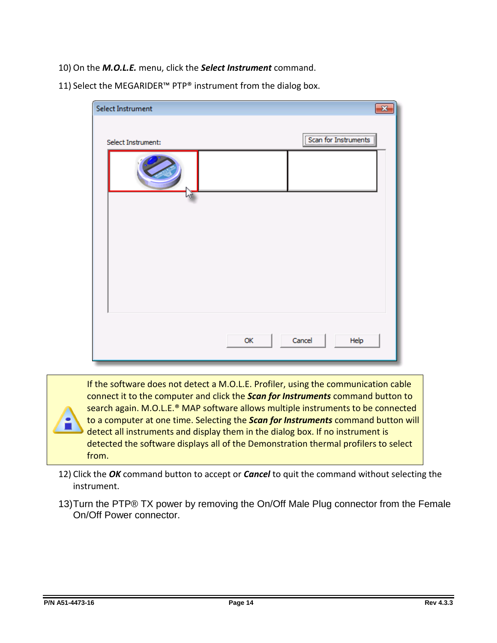- 10) On the *M.O.L.E.* menu, click the *Select Instrument* command.
- 11) Select the MEGARIDER<sup>™</sup> PTP® instrument from the dialog box.

| Select Instrument  | $\mathbf{x}$           |
|--------------------|------------------------|
| Select Instrument: | [Scan for Instruments] |
|                    |                        |
|                    |                        |
|                    |                        |
|                    |                        |
|                    |                        |
|                    | Cancel<br>Help<br>OK   |

If the software does not detect a M.O.L.E. Profiler, using the communication cable connect it to the computer and click the *Scan for Instruments* command button to search again. M.O.L.E.® MAP software allows multiple instruments to be connected to a computer at one time. Selecting the *Scan for Instruments* command button will detect all instruments and display them in the dialog box. If no instrument is detected the software displays all of the Demonstration thermal profilers to select from.

- 12) Click the *OK* command button to accept or *Cancel* to quit the command without selecting the instrument.
- 13)Turn the PTP® TX power by removing the On/Off Male Plug connector from the Female On/Off Power connector.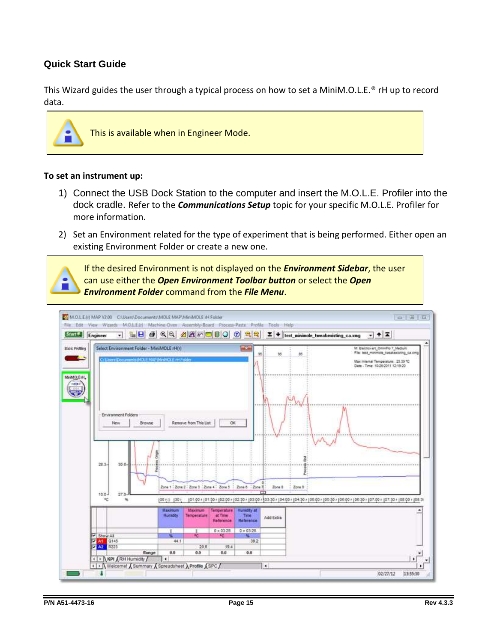## <span id="page-14-0"></span>**Quick Start Guide**

This Wizard guides the user through a typical process on how to set a MiniM.O.L.E.® rH up to record data.



This is available when in Engineer Mode.

#### **To set an instrument up:**

- 1) Connect the USB Dock Station to the computer and insert the M.O.L.E. Profiler into the dock cradle. Refer to the *Communications Setup* topic for your specific M.O.L.E. Profiler for more information.
- 2) Set an Environment related for the type of experiment that is being performed. Either open an existing Environment Folder or create a new one.

If the desired Environment is not displayed on the *Environment Sidebar*, the user can use either the *Open Environment Toolbar button* or select the *Open Environment Folder* command from the *File Menu*.

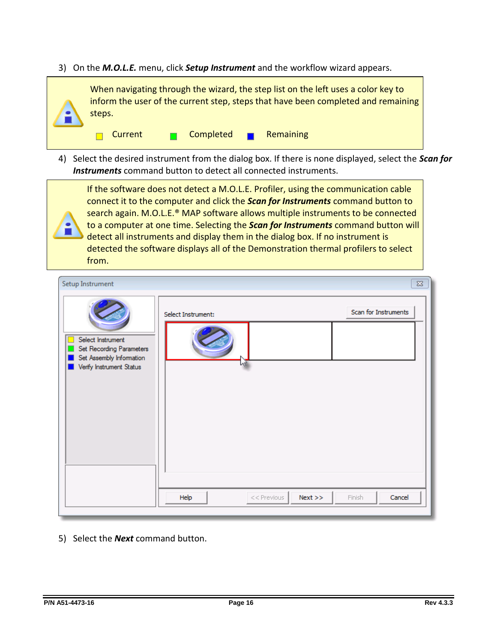3) On the *M.O.L.E.* menu, click *Setup Instrument* and the workflow wizard appears.



4) Select the desired instrument from the dialog box. If there is none displayed, select the *Scan for Instruments* command button to detect all connected instruments.

If the software does not detect a M.O.L.E. Profiler, using the communication cable connect it to the computer and click the *Scan for Instruments* command button to search again. M.O.L.E.® MAP software allows multiple instruments to be connected to a computer at one time. Selecting the *Scan for Instruments* command button will detect all instruments and display them in the dialog box. If no instrument is detected the software displays all of the Demonstration thermal profilers to select from.

| Setup Instrument                                                                                                |                               | $\Sigma\!$           |
|-----------------------------------------------------------------------------------------------------------------|-------------------------------|----------------------|
| Select Instrument<br>г<br>Set Recording Parameters<br>E<br>Set Assembly Information<br>Verify Instrument Status | Select Instrument:            | Scan for Instruments |
|                                                                                                                 | Help<br>$<<$ Previous<br>Next | Finish<br>Cancel     |

5) Select the *Next* command button.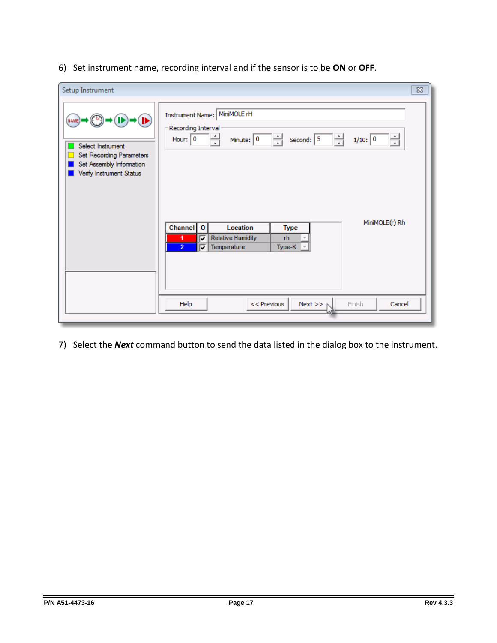6) Set instrument name, recording interval and if the sensor is to be **ON** or **OFF**.

| Setup Instrument                                                                                                |                                                                                                                                                                                                                                                                                                          | $\Sigma$ |
|-----------------------------------------------------------------------------------------------------------------|----------------------------------------------------------------------------------------------------------------------------------------------------------------------------------------------------------------------------------------------------------------------------------------------------------|----------|
| (NAME)<br>Select Instrument<br>Set Recording Parameters<br>Set Assembly Information<br>Verify Instrument Status | Instrument Name: MiniMOLE rH<br>Recording Interval<br>Minute: $\boxed{0}$ $\rightarrow$ Second: $\boxed{5}$<br>Hour: $\boxed{0}$ $\rightarrow$<br>Ħ<br>1/10: 0<br>MiniMOLE(r) Rh<br>Channel 0<br>Location<br><b>Type</b><br>Relative Humidity<br>rh<br>⊽<br>$\overline{2}$<br>Temperature<br>⊽<br>Type-K |          |
|                                                                                                                 | Finish<br>Help<br>$<<$ Previous<br>$Next \gg r$<br>Cancel                                                                                                                                                                                                                                                |          |

7) Select the *Next* command button to send the data listed in the dialog box to the instrument.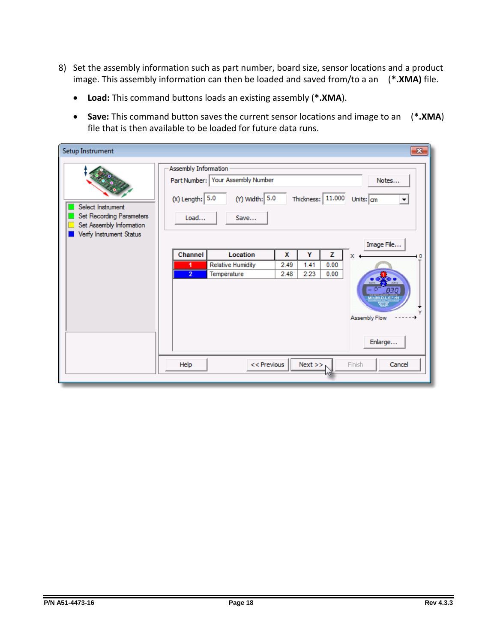- 8) Set the assembly information such as part number, board size, sensor locations and a product image. This assembly information can then be loaded and saved from/to a an (**\*.XMA)** file.
	- **Load:** This command buttons loads an existing assembly (**\*.XMA**).
	- **Save:** This command button saves the current sensor locations and image to an (**\*.XMA**) file that is then available to be loaded for future data runs.

| Setup Instrument                                                                                      |                                                                                                                                                               |                                                |                   | $\mathbf{x}$                                                                        |  |  |
|-------------------------------------------------------------------------------------------------------|---------------------------------------------------------------------------------------------------------------------------------------------------------------|------------------------------------------------|-------------------|-------------------------------------------------------------------------------------|--|--|
| Select Instrument<br>Set Recording Parameters<br>Set Assembly Information<br>Verify Instrument Status | Assembly Information<br>Part Number: Your Assembly Number<br>Notes<br>(Y) Width: 5.0<br>Thickness: 11.000<br>$(X)$ Length: $5.0$<br>Units: cm<br>Load<br>Save |                                                |                   |                                                                                     |  |  |
|                                                                                                       | Location<br>Channel<br>Relative Humidity<br>1<br>$\overline{2}$<br>Temperature<br>$<<$ Previous<br>Help                                                       | Υ<br>X<br>2.49<br>1.41<br>2.23<br>2.48<br>Next | z<br>0.00<br>0.00 | Image File<br>X<br>83 O<br>٧<br><b>Assembly Flow</b><br>Enlarge<br>Finish<br>Cancel |  |  |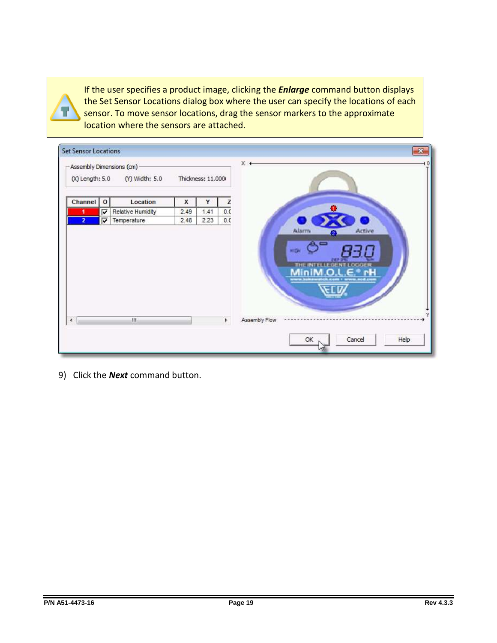If the user specifies a product image, clicking the *Enlarge* command button displays the Set Sensor Locations dialog box where the user can specify the locations of each sensor. To move sensor locations, drag the sensor markers to the approximate location where the sensors are attached.

|                | (X) Length: 5.0 | (Y) Width: 5.0    |      | Thickness: 11.000 |     |               |
|----------------|-----------------|-------------------|------|-------------------|-----|---------------|
| <b>Channel</b> | $\mathbf 0$     | Location          | X    | Y                 | Z   |               |
|                | ⊽               | Relative Humidity | 2.49 | 1.41              | 0.0 |               |
| 2              | π               | Temperature       | 2.48 | 2.23              | 0.0 |               |
|                |                 |                   |      |                   |     | Assembly Flow |

9) Click the *Next* command button.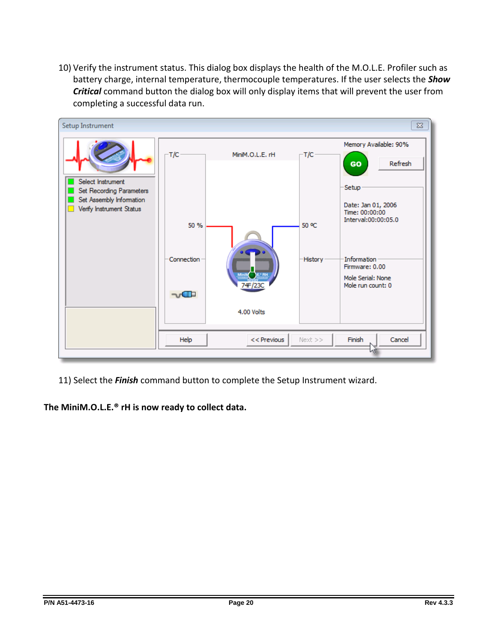10) Verify the instrument status. This dialog box displays the health of the M.O.L.E. Profiler such as battery charge, internal temperature, thermocouple temperatures. If the user selects the *Show Critical* command button the dialog box will only display items that will prevent the user from completing a successful data run.



11) Select the *Finish* command button to complete the Setup Instrument wizard.

**The MiniM.O.L.E.® rH is now ready to collect data.**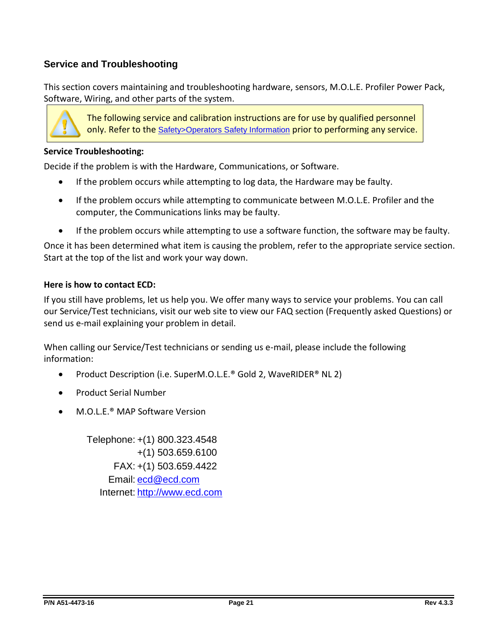# <span id="page-20-0"></span>**Service and Troubleshooting**

This section covers maintaining and troubleshooting hardware, sensors, M.O.L.E. Profiler Power Pack, Software, Wiring, and other parts of the system.



The following service and calibration instructions are for use by qualified personnel only. Refer to the Safety>Operators Safety Information prior to performing any service.

#### **Service Troubleshooting:**

Decide if the problem is with the Hardware, Communications, or Software.

- If the problem occurs while attempting to log data, the Hardware may be faulty.
- If the problem occurs while attempting to communicate between M.O.L.E. Profiler and the computer, the Communications links may be faulty.
- If the problem occurs while attempting to use a software function, the software may be faulty.

Once it has been determined what item is causing the problem, refer to the appropriate service section. Start at the top of the list and work your way down.

#### **Here is how to contact ECD:**

If you still have problems, let us help you. We offer many ways to service your problems. You can call our Service/Test technicians, visit our web site to view our FAQ section (Frequently asked Questions) or send us e-mail explaining your problem in detail.

When calling our Service/Test technicians or sending us e-mail, please include the following information:

- Product Description (i.e. SuperM.O.L.E.® Gold 2, WaveRIDER® NL 2)
- Product Serial Number
- M.O.L.E.® MAP Software Version

Telephone: +(1) 800.323.4548 +(1) 503.659.6100 FAX: +(1) 503.659.4422 Email: [ecd@ecd.com](mailto:ecd@ecd.com) Internet: [http://www.ecd.com](http://www.ecd.com/)